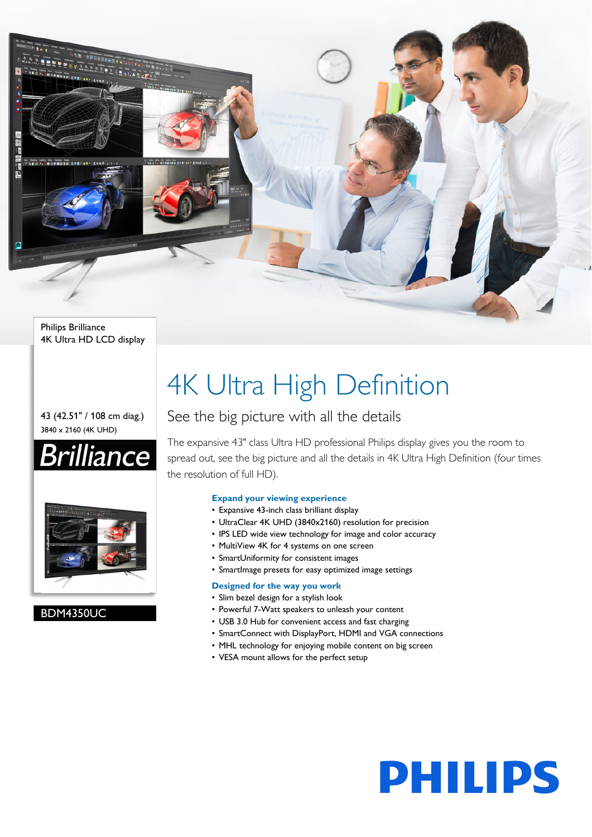

#### Philips Brilliance 4K Ultra HD LCD display

#### 43 (42.51" / 108 cm diag.) 3840 x 2160 (4K UHD)





#### BDM4350UC

# 4K Ultra High Definition

### See the big picture with all the details

The expansive 43" class Ultra HD professional Philips display gives you the room to spread out, see the big picture and all the details in 4K Ultra High Definition (four times the resolution of full HD).

#### **Expand your viewing experience**

- Expansive 43-inch class brilliant display
- UltraClear 4K UHD (3840x2160) resolution for precision
- IPS LED wide view technology for image and color accuracy
- MultiView 4K for 4 systems on one screen
- SmartUniformity for consistent images
- SmartImage presets for easy optimized image settings

#### **Designed for the way you work**

- Slim bezel design for a stylish look
- Powerful 7-Watt speakers to unleash your content
- USB 3.0 Hub for convenient access and fast charging
- SmartConnect with DisplayPort, HDMI and VGA connections
- MHL technology for enjoying mobile content on big screen
- VESA mount allows for the perfect setup

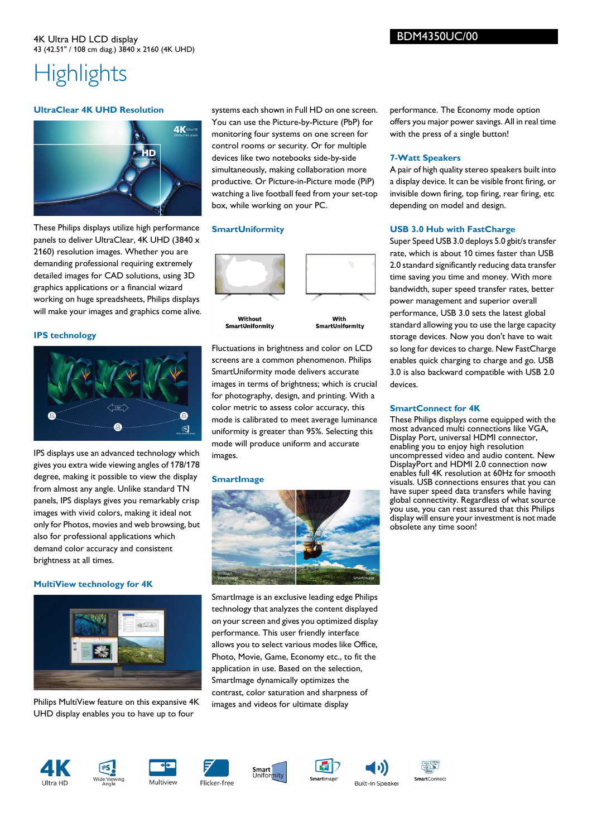#### 4K Ultra HD LCD display 43 (42.51" / 108 cm diag.) 3840 x 2160 (4K UHD)

## **Highlights**

#### **UltraClear 4K UHD Resolution**



These Philips displays utilize high performance panels to deliver UltraClear, 4K UHD (3840 x 2160) resolution images. Whether you are demanding professional requiring extremely detailed images for CAD solutions, using 3D graphics applications or a financial wizard working on huge spreadsheets, Philips displays will make your images and graphics come alive.

#### **IPS technology**



IPS displays use an advanced technology which gives you extra wide viewing angles of 178/178 degree, making it possible to view the display from almost any angle. Unlike standard TN panels, IPS displays gives you remarkably crisp images with vivid colors, making it ideal not only for Photos, movies and web browsing, but also for professional applications which demand color accuracy and consistent brightness at all times.

#### **MultiView technology for 4K**



Philips MultiView feature on this expansive 4K UHD display enables you to have up to four

systems each shown in Full HD on one screen. You can use the Picture-by-Picture (PbP) for monitoring four systems on one screen for control rooms or security. Or for multiple devices like two notebooks side-by-side simultaneously, making collaboration more productive. Or Picture-in-Picture mode (PiP) watching a live football feed from your set-top box, while working on your PC.

#### **SmartUniformity**



Fluctuations in brightness and color on LCD screens are a common phenomenon. Philips SmartUniformity mode delivers accurate images in terms of brightness; which is crucial for photography, design, and printing. With a color metric to assess color accuracy, this mode is calibrated to meet average luminance uniformity is greater than 95%. Selecting this mode will produce uniform and accurate images.

#### **SmartImage**



SmartImage is an exclusive leading edge Philips technology that analyzes the content displayed on your screen and gives you optimized display performance. This user friendly interface allows you to select various modes like Office, Photo, Movie, Game, Economy etc., to fit the application in use. Based on the selection, SmartImage dynamically optimizes the contrast, color saturation and sharpness of images and videos for ultimate display















performance. The Economy mode option offers you major power savings. All in real time with the press of a single button!

#### **7-Watt Speakers**

A pair of high quality stereo speakers built into a display device. It can be visible front firing, or invisible down firing, top firing, rear firing, etc depending on model and design.

#### **USB 3.0 Hub with FastCharge**

Super Speed USB 3.0 deploys 5.0 gbit/s transfer rate, which is about 10 times faster than USB 2.0 standard significantly reducing data transfer time saving you time and money. With more bandwidth, super speed transfer rates, better power management and superior overall performance, USB 3.0 sets the latest global standard allowing you to use the large capacity storage devices. Now you don't have to wait so long for devices to charge. New FastCharge enables quick charging to charge and go. USB 3.0 is also backward compatible with USB 2.0 devices.

#### **SmartConnect for 4K**

These Philips displays come equipped with the most advanced multi connections like VGA, Display Port, universal HDMI connector, enabling you to enjoy high resolution uncompressed video and audio content. New DisplayPort and HDMI 2.0 connection now enables full 4K resolution at 60Hz for smooth visuals. USB connections ensures that you can have super speed data transfers while having global connectivity. Regardless of what source you use, you can rest assured that this Philips display will ensure your investment is not made obsolete any time soon!